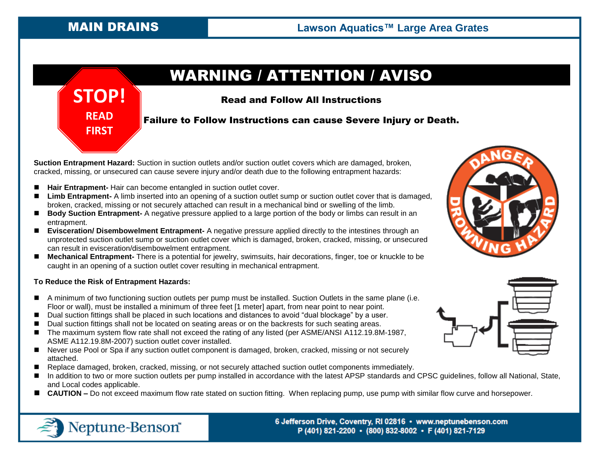6 Jefferson Drive, Coventry, RI 02816 • www.neptunebenson.com

P (401) 821-2200 · (800) 832-8002 · F (401) 821-7129



**Suction Entrapment Hazard:** Suction in suction outlets and/or suction outlet covers which are damaged, broken, cracked, missing, or unsecured can cause severe injury and/or death due to the following entrapment hazards:

- **Hair Entrapment-** Hair can become entangled in suction outlet cover.
- **Limb Entrapment-** A limb inserted into an opening of a suction outlet sump or suction outlet cover that is damaged, broken, cracked, missing or not securely attached can result in a mechanical bind or swelling of the limb.
- **Body Suction Entrapment-** A negative pressure applied to a large portion of the body or limbs can result in an entrapment.
- **Evisceration/ Disembowelment Entrapment-** A negative pressure applied directly to the intestines through an unprotected suction outlet sump or suction outlet cover which is damaged, broken, cracked, missing, or unsecured can result in evisceration/disembowelment entrapment.
- **Mechanical Entrapment-** There is a potential for jewelry, swimsuits, hair decorations, finger, toe or knuckle to be caught in an opening of a suction outlet cover resulting in mechanical entrapment.

#### **To Reduce the Risk of Entrapment Hazards:**

Neptune-Benson®

- A minimum of two functioning suction outlets per pump must be installed. Suction Outlets in the same plane (i.e. Floor or wall), must be installed a minimum of three feet [1 meter] apart, from near point to near point.
- Dual suction fittings shall be placed in such locations and distances to avoid "dual blockage" by a user.
- Dual suction fittings shall not be located on seating areas or on the backrests for such seating areas.
- The maximum system flow rate shall not exceed the rating of any listed (per ASME/ANSI A112.19.8M-1987, ASME A112.19.8M-2007) suction outlet cover installed.
- Never use Pool or Spa if any suction outlet component is damaged, broken, cracked, missing or not securely attached.
- Replace damaged, broken, cracked, missing, or not securely attached suction outlet components immediately.
- In addition to two or more suction outlets per pump installed in accordance with the latest APSP standards and CPSC guidelines, follow all National, State, and Local codes applicable.
- **CAUTION** Do not exceed maximum flow rate stated on suction fitting. When replacing pump, use pump with similar flow curve and horsepower.



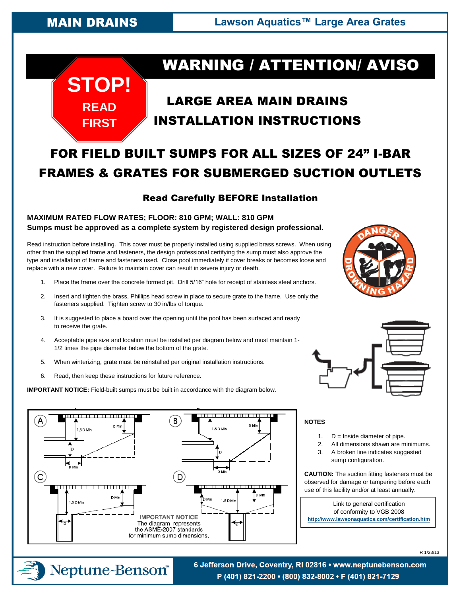**STOP!**

**READ**

**FIRST**

# WARNING / ATTENTION/ AVISO

# LARGE AREA MAIN DRAINS INSTALLATION INSTRUCTIONS

## FOR FIELD BUILT SUMPS FOR ALL SIZES OF 24" I-BAR FRAMES & GRATES FOR SUBMERGED SUCTION OUTLETS

#### Read Carefully BEFORE Installation

#### **MAXIMUM RATED FLOW RATES; FLOOR: 810 GPM; WALL: 810 GPM Sumps must be approved as a complete system by registered design professional.**

Read instruction before installing. This cover must be properly installed using supplied brass screws. When using other than the supplied frame and fasteners, the design professional certifying the sump must also approve the type and installation of frame and fasteners used. Close pool immediately if cover breaks or becomes loose and replace with a new cover. Failure to maintain cover can result in severe injury or death.

- 1. Place the frame over the concrete formed pit. Drill 5/16" hole for receipt of stainless steel anchors.
- 2. Insert and tighten the brass, Phillips head screw in place to secure grate to the frame. Use only the fasteners supplied. Tighten screw to 30 in/lbs of torque.
- 3. It is suggested to place a board over the opening until the pool has been surfaced and ready to receive the grate.
- 4. Acceptable pipe size and location must be installed per diagram below and must maintain 1- 1/2 times the pipe diameter below the bottom of the grate.
- 5. When winterizing, grate must be reinstalled per original installation instructions.
- 6. Read, then keep these instructions for future reference.

**IMPORTANT NOTICE:** Field-built sumps must be built in accordance with the diagram below.





#### **NOTES**

- 1.  $D =$  Inside diameter of pipe.
- 2. All dimensions shawn are minimums.
- 3. A broken line indicates suggested sump configuration.

**CAUTION:** The suction fitting fasteners must be observed for damage or tampering before each use of this facility and/or at least annually.

Link to general certification of conformity to VGB 2008 **<http://www.lawsonaquatics.com/certification.htm>**

R 1/23/13

Neptune-Benson®

6 Jefferson Drive, Coventry, RI 02816 · www.neptunebenson.com P (401) 821-2200 · (800) 832-8002 · F (401) 821-7129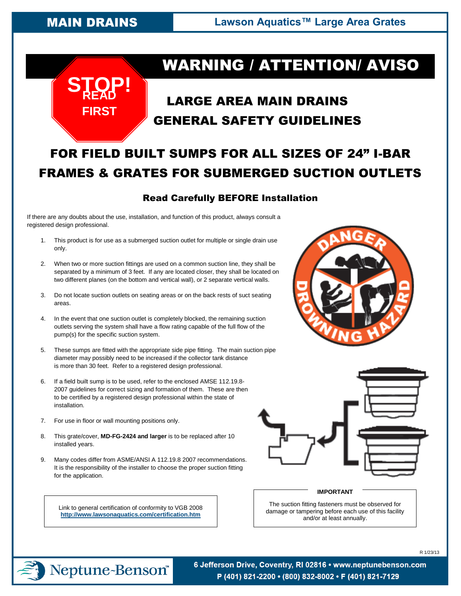$S_{R}^{F}QP$ !

**FIRST**

# WARNING / ATTENTION/ AVISO

### LARGE AREA MAIN DRAINS GENERAL SAFETY GUIDELINES

## FOR FIELD BUILT SUMPS FOR ALL SIZES OF 24" I-BAR FRAMES & GRATES FOR SUBMERGED SUCTION OUTLETS

#### Read Carefully BEFORE Installation

If there are any doubts about the use, installation, and function of this product, always consult a registered design professional.

- 1. This product is for use as a submerged suction outlet for multiple or single drain use only.
- 2. When two or more suction fittings are used on a common suction line, they shall be separated by a minimum of 3 feet. If any are located closer, they shall be located on two different planes (on the bottom and vertical wall), or 2 separate vertical walls.
- 3. Do not locate suction outlets on seating areas or on the back rests of suct seating areas.
- 4. In the event that one suction outlet is completely blocked, the remaining suction outlets serving the system shall have a flow rating capable of the full flow of the pump(s) for the specific suction system.
- 5. These sumps are fitted with the appropriate side pipe fitting. The main suction pipe diameter may possibly need to be increased if the collector tank distance is more than 30 feet. Refer to a registered design professional.
- 6. If a field built sump is to be used, refer to the enclosed AMSE 112.19.8- 2007 guidelines for correct sizing and formation of them. These are then to be certified by a registered design professional within the state of installation.
- 7. For use in floor or wall mounting positions only.

Neptune-Benson®

- 8. This grate/cover, **MD-FG-2424 and larger** is to be replaced after 10 installed years.
- 9. Many codes differ from ASME/ANSI A 112.19.8 2007 recommendations. It is the responsibility of the installer to choose the proper suction fitting for the application.

Link to general certification of conformity to VGB 2008 **<http://www.lawsonaquatics.com/certification.htm>**



#### **IMPORTANT**

The suction fitting fasteners must be observed for damage or tampering before each use of this facility and/or at least annually.

R 1/23/13



6 Jefferson Drive, Coventry, RI 02816 • www.neptunebenson.com P (401) 821-2200 · (800) 832-8002 · F (401) 821-7129